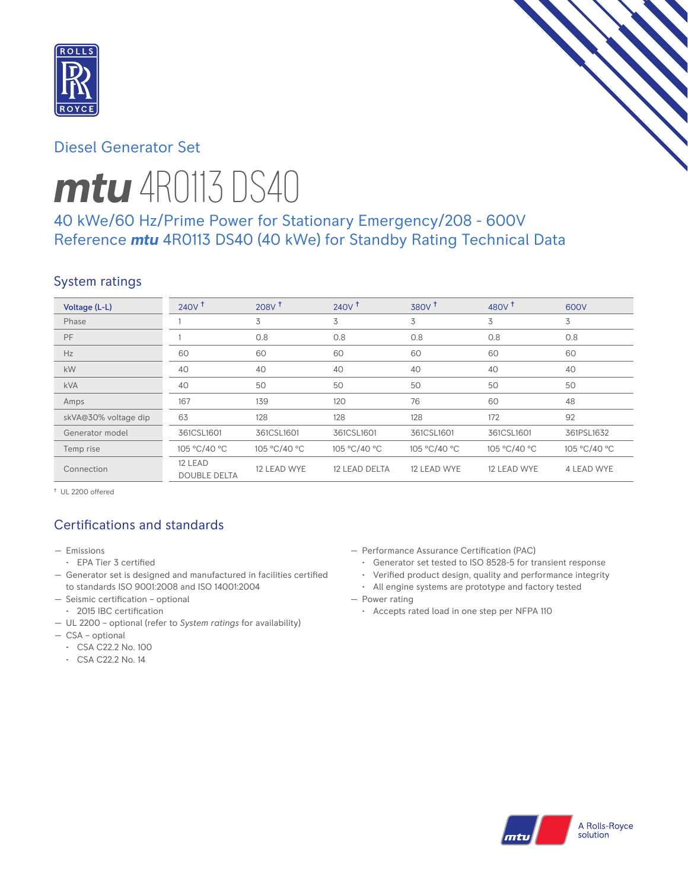

# Diesel Generator Set

# *mtu* 4R0113 DS40

# 40 kWe/60 Hz/Prime Power for Stationary Emergency/208 - 600V Reference *mtu* 4R0113 DS40 (40 kWe) for Standby Rating Technical Data

### System ratings

| Voltage (L-L)        | 240V <sup>†</sup>              | $208V$ <sup>+</sup> | 240V <sup>†</sup>    | $380V$ <sup>+</sup> | 480 $V†$     | 600V              |
|----------------------|--------------------------------|---------------------|----------------------|---------------------|--------------|-------------------|
| Phase                |                                | 3                   | 3                    | 3                   | 3            | 3                 |
| PF                   |                                | 0.8                 | 0.8                  | 0.8                 | 0.8          | 0.8               |
| Hz                   | 60                             | 60                  | 60                   | 60                  | 60           | 60                |
| kW                   | 40                             | 40                  | 40                   | 40                  | 40           | 40                |
| <b>kVA</b>           | 40                             | 50                  | 50                   | 50                  | 50           | 50                |
| Amps                 | 167                            | 139                 | 120                  | 76                  | 60           | 48                |
| skVA@30% voltage dip | 63                             | 128                 | 128                  | 128                 | 172          | 92                |
| Generator model      | 361CSL1601                     | 361CSL1601          | 361CSL1601           | 361CSL1601          | 361CSL1601   | 361PSL1632        |
| Temp rise            | 105 °C/40 °C                   | 105 °C/40 °C        | 105 °C/40 °C         | 105 °C/40 °C        | 105 °C/40 °C | 105 °C/40 °C      |
| Connection           | 12 LEAD<br><b>DOUBLE DELTA</b> | 12 LEAD WYE         | <b>12 LEAD DELTA</b> | 12 LEAD WYE         | 12 LEAD WYE  | <b>4 LEAD WYE</b> |

† UL 2200 offered

# Certifications and standards

- Emissions
	- EPA Tier 3 certified
- Generator set is designed and manufactured in facilities certified to standards ISO 9001:2008 and ISO 14001:2004
- Seismic certification optional
- 2015 IBC certification
- UL 2200 optional (refer to *System ratings* for availability)
- CSA optional
	- CSA C22.2 No. 100
	- CSA C22.2 No. 14
- Performance Assurance Certification (PAC)
	- Generator set tested to ISO 8528-5 for transient response
	- Verified product design, quality and performance integrity
	- All engine systems are prototype and factory tested
- Power rating
	- Accepts rated load in one step per NFPA 110

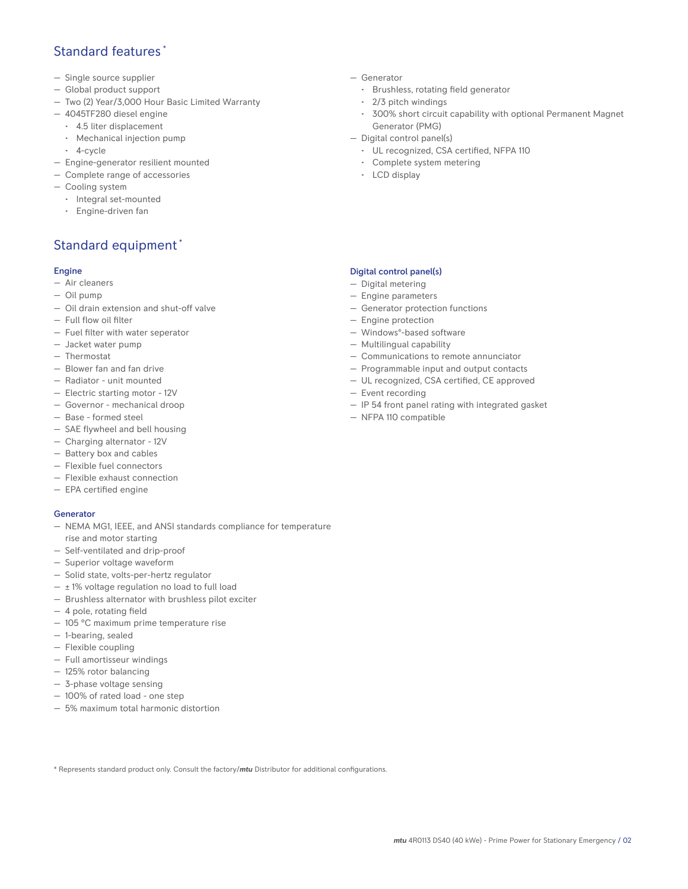### Standard features \*

- Single source supplier
- Global product support
- Two (2) Year/3,000 Hour Basic Limited Warranty
- 4045TF280 diesel engine
	- 4.5 liter displacement
	- Mechanical injection pump
	- 4-cycle
- Engine-generator resilient mounted
- Complete range of accessories
- Cooling system
- Integral set-mounted
	- Engine-driven fan

# Standard equipment \*

### Engine

- Air cleaners
- Oil pump
- Oil drain extension and shut-off valve
- Full flow oil filter
- Fuel filter with water seperator
- Jacket water pump
- Thermostat
- Blower fan and fan drive
- Radiator unit mounted
- Electric starting motor 12V
- Governor mechanical droop
- Base formed steel
- SAE flywheel and bell housing
- Charging alternator 12V
- Battery box and cables
- Flexible fuel connectors
- Flexible exhaust connection
- EPA certified engine

#### **Generator**

- NEMA MG1, IEEE, and ANSI standards compliance for temperature rise and motor starting
- Self-ventilated and drip-proof
- Superior voltage waveform
- Solid state, volts-per-hertz regulator
- $\pm$  1% voltage regulation no load to full load
- Brushless alternator with brushless pilot exciter
- 4 pole, rotating field
- 105 °C maximum prime temperature rise
- 1-bearing, sealed
- Flexible coupling
- Full amortisseur windings
- 125% rotor balancing
- 3-phase voltage sensing
- 100% of rated load one step
- 5% maximum total harmonic distortion
- Generator
	- Brushless, rotating field generator
	- 2/3 pitch windings
	- 300% short circuit capability with optional Permanent Magnet Generator (PMG)
- Digital control panel(s)
	- UL recognized, CSA certified, NFPA 110
	- Complete system metering
	- LCD display

#### Digital control panel(s)

- Digital metering
- Engine parameters
- Generator protection functions
- Engine protection
- Windows®-based software
- Multilingual capability
- Communications to remote annunciator
- Programmable input and output contacts
- UL recognized, CSA certified, CE approved
- Event recording
- IP 54 front panel rating with integrated gasket
- NFPA 110 compatible

\* Represents standard product only. Consult the factory/*mtu* Distributor for additional configurations.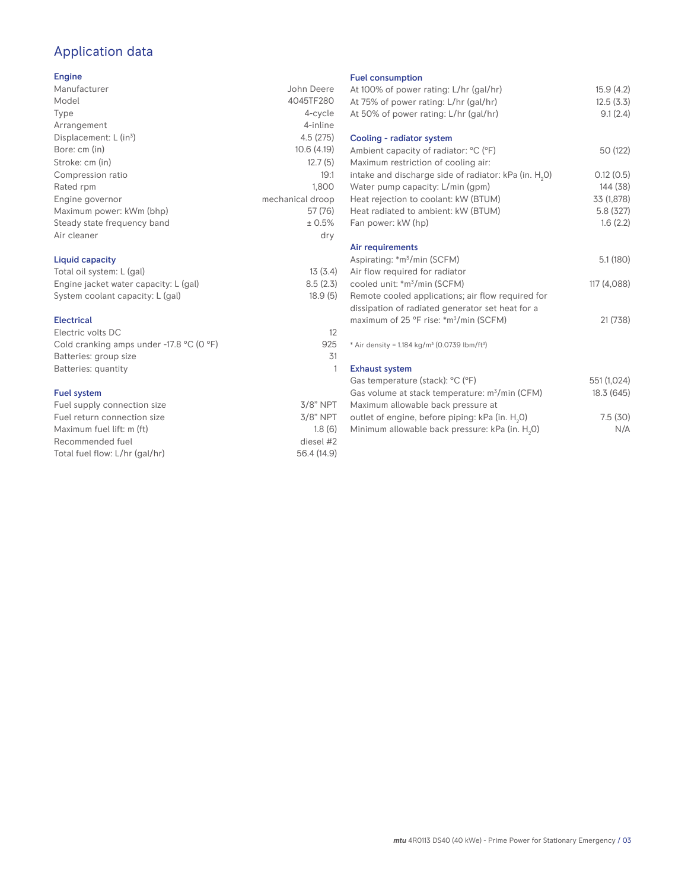# Application data

### Engine

| ------                      |                  |
|-----------------------------|------------------|
| Manufacturer                | John Deere       |
| Model                       | 4045TF280        |
| Type                        | 4-cycle          |
| Arrangement                 | 4-inline         |
| Displacement: $L (in3)$     | 4.5(275)         |
| Bore: cm (in)               | 10.6(4.19)       |
| Stroke: cm (in)             | 12.7(5)          |
| Compression ratio           | 19:1             |
| Rated rpm                   | 1.800            |
| Engine governor             | mechanical droop |
| Maximum power: kWm (bhp)    | 57(76)           |
| Steady state frequency band | ± 0.5%           |
| Air cleaner                 | dry              |
|                             |                  |

### Liquid capacity

| Total oil system: L (gal)             | 13(3.4)  |
|---------------------------------------|----------|
| Engine jacket water capacity: L (gal) | 8.5(2.3) |
| System coolant capacity: L (gal)      | 18.9(5)  |

#### Electrical

| Electric volts DC                                            |     |
|--------------------------------------------------------------|-----|
| Cold cranking amps under -17.8 $^{\circ}$ C (O $^{\circ}$ F) | 925 |
| Batteries: group size                                        | .31 |
| Batteries: quantity                                          |     |
|                                                              |     |

### Fuel system

| $3/8"$ NPT  |
|-------------|
| $3/8$ " NPT |
| 1.8(6)      |
| diesel #2   |
| 56.4 (14.9) |
|             |

#### Fuel consumption

| <b>I GET CONSUMPTION</b>                                             |             |
|----------------------------------------------------------------------|-------------|
| At 100% of power rating: L/hr (gal/hr)                               | 15.9(4.2)   |
| At 75% of power rating: L/hr (gal/hr)                                | 12.5(3.3)   |
| At 50% of power rating: L/hr (gal/hr)                                | 9.1(2.4)    |
| Cooling - radiator system                                            |             |
| Ambient capacity of radiator: °C (°F)                                | 50 (122)    |
|                                                                      |             |
| Maximum restriction of cooling air:                                  |             |
| intake and discharge side of radiator: kPa (in. H <sub>2</sub> 0)    | 0.12(0.5)   |
| Water pump capacity: L/min (gpm)                                     | 144 (38)    |
| Heat rejection to coolant: kW (BTUM)                                 | 33 (1,878)  |
| Heat radiated to ambient: kW (BTUM)                                  | 5.8 (327)   |
| Fan power: kW (hp)                                                   | 1.6(2.2)    |
| Air requirements                                                     |             |
| Aspirating: *m <sup>3</sup> /min (SCFM)                              | 5.1(180)    |
|                                                                      |             |
| Air flow required for radiator                                       |             |
| cooled unit: *m <sup>3</sup> /min (SCFM)                             | 117 (4,088) |
| Remote cooled applications; air flow required for                    |             |
| dissipation of radiated generator set heat for a                     |             |
| maximum of 25 °F rise: *m <sup>3</sup> /min (SCFM)                   | 21 (738)    |
| * Air density = $1.184 \text{ kg/m}^3$ (0.0739 lbm/ft <sup>3</sup> ) |             |
|                                                                      |             |
| <b>Exhaust system</b>                                                |             |
| Gas temperature (stack): °C (°F)                                     | 551 (1,024) |
| Gas volume at stack temperature: m <sup>3</sup> /min (CFM)           | 18.3 (645)  |
| Maximum allowable back pressure at                                   |             |
| outlet of engine, before piping: kPa (in. H <sub>2</sub> 0)          | 7.5(30)     |
| Minimum allowable back pressure: kPa (in. H <sub>2</sub> 0)          | N/A         |
|                                                                      |             |